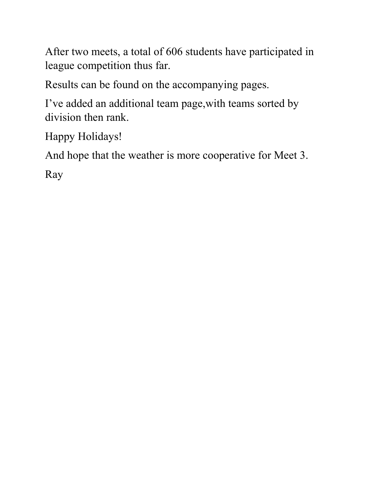After two meets, a total of 606 students have participated in league competition thus far.

Results can be found on the accompanying pages.

I've added an additional team page,with teams sorted by division then rank.

Happy Holidays!

And hope that the weather is more cooperative for Meet 3.

Ray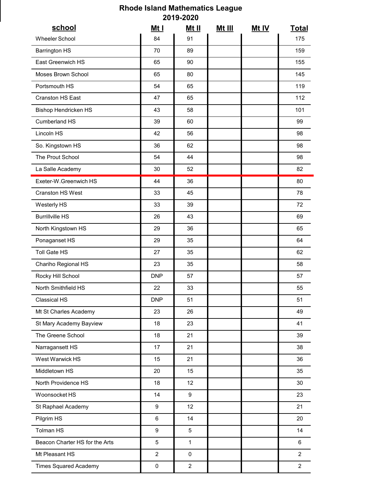## Rhode Island Mathematics League 2019-2020

|                                | <b>Rhode Island Mathematics League</b> | 2019-2020                     |               |       |                 |
|--------------------------------|----------------------------------------|-------------------------------|---------------|-------|-----------------|
| school                         | <u>Mt I</u>                            | <u>Mt II</u>                  | <u>Mt III</u> | Mt IV | <b>Total</b>    |
| Wheeler School                 | 84                                     | 91                            |               |       | 175             |
| <b>Barrington HS</b>           | 70                                     | 89                            |               |       | 159             |
| East Greenwich HS              | 65                                     | 90                            |               |       | 155             |
| Moses Brown School             | 65                                     | 80                            |               |       | 145             |
| Portsmouth HS                  | 54                                     | 65                            |               |       | 119             |
| Cranston HS East               | 47                                     | 65                            |               |       | 112             |
| Bishop Hendricken HS           | 43                                     | 58                            |               |       | 101             |
| Cumberland HS                  | 39                                     | 60                            |               |       | 99              |
| Lincoln HS                     | 42                                     | 56                            |               |       | 98              |
| So. Kingstown HS               | 36                                     | 62                            |               |       | 98              |
| The Prout School               | 54                                     | 44                            |               |       | 98              |
| La Salle Academy               | $30\,$                                 | 52                            |               |       | 82              |
| Exeter-W.Greenwich HS          | 44                                     | 36                            |               |       | 80              |
| Cranston HS West               | 33                                     | 45                            |               |       | 78              |
| Westerly HS                    | 33                                     | 39                            |               |       | 72              |
| <b>Burrillville HS</b>         | 26                                     | 43                            |               |       | 69              |
| North Kingstown HS             | 29                                     | 36                            |               |       | 65              |
| Ponaganset HS                  | 29                                     | 35                            |               |       | 64              |
| Toll Gate HS                   | 27                                     | 35                            |               |       | 62              |
| Chariho Regional HS            | 23                                     | 35                            |               |       | 58              |
| Rocky Hill School              | <b>DNP</b>                             | 57                            |               |       | 57              |
| North Smithfield HS            | 22                                     | 33                            |               |       | 55              |
| Classical HS                   | <b>DNP</b>                             | 51                            |               |       | 51              |
| Mt St Charles Academy          | 23                                     | 26                            |               |       | 49              |
| St Mary Academy Bayview        | 18                                     | 23                            |               |       | 41              |
| The Greene School              | 18                                     | 21                            |               |       | 39              |
| Narragansett HS                | 17                                     | 21                            |               |       | 38              |
| West Warwick HS                | 15                                     | 21                            |               |       | $36\,$          |
| Middletown HS                  | 20                                     | 15                            |               |       | 35              |
| North Providence HS            | 18                                     | 12                            |               |       | 30 <sup>°</sup> |
| Woonsocket HS                  | 14                                     | $\boldsymbol{9}$              |               |       | 23              |
| St Raphael Academy             | $\boldsymbol{9}$                       | $12$                          |               |       | 21              |
| Pilgrim HS                     | $\,6\,$                                | 14                            |               |       | 20              |
| Tolman HS                      | $\boldsymbol{9}$                       | $5\phantom{.0}$               |               |       | 14              |
| Beacon Charter HS for the Arts | $\overline{5}$                         | $\mathbf{1}$                  |               |       | $\,6\,$         |
| Mt Pleasant HS                 | $\overline{2}$                         |                               |               |       | 2 <sup>7</sup>  |
| <b>Times Squared Academy</b>   | $\pmb{0}$                              | $\mathbf 0$<br>$\overline{2}$ |               |       | $2^{\circ}$     |
|                                |                                        |                               |               |       |                 |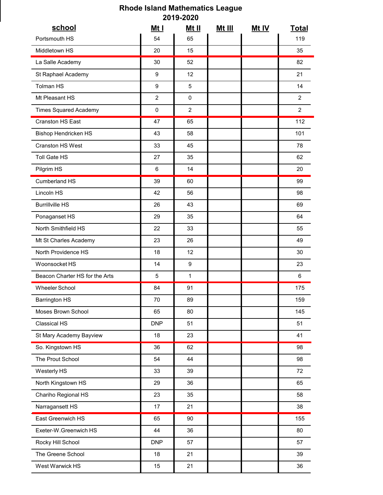## Rhode Island Mathematics League 2019-2020

| <b>Rhode Island Mathematics League</b><br>2019-2020 |                |                |               |              |                 |
|-----------------------------------------------------|----------------|----------------|---------------|--------------|-----------------|
| school                                              | <u>Mt I</u>    | <u>Mt II</u>   | <u>Mt III</u> | <u>Mt IV</u> | <b>Total</b>    |
| Portsmouth HS                                       | 54             | 65             |               |              | 119             |
| Middletown HS                                       | 20             | 15             |               |              | 35              |
| La Salle Academy                                    | 30             | 52             |               |              | 82              |
| St Raphael Academy                                  | 9              | 12             |               |              | 21              |
| Tolman HS                                           | 9              | 5              |               |              | 14              |
| Mt Pleasant HS                                      | $\overline{2}$ | $\mathbf 0$    |               |              | $2^{\circ}$     |
| <b>Times Squared Academy</b>                        | 0              | $\overline{2}$ |               |              | $2^{\circ}$     |
| Cranston HS East                                    | 47             | 65             |               |              | 112             |
| Bishop Hendricken HS                                | 43             | 58             |               |              | 101             |
| Cranston HS West                                    | 33             | 45             |               |              | 78              |
| Toll Gate HS                                        | 27             | 35             |               |              | 62              |
| Pilgrim HS                                          | 6              | $14$           |               |              | 20              |
| Cumberland HS                                       | 39             | 60             |               |              | 99              |
| Lincoln HS                                          | 42             | 56             |               |              | 98              |
| <b>Burrillville HS</b>                              | 26             | 43             |               |              | 69              |
| Ponaganset HS                                       | 29             | 35             |               |              | 64              |
| North Smithfield HS                                 | 22             | 33             |               |              | 55              |
| Mt St Charles Academy                               | 23             | 26             |               |              | 49              |
| North Providence HS                                 | 18             | 12             |               |              | 30              |
| Woonsocket HS                                       | 14             | 9              |               |              | 23              |
| Beacon Charter HS for the Arts                      | 5              | $\mathbf{1}$   |               |              | $6\overline{6}$ |
| Wheeler School                                      | 84             | 91             |               |              | 175             |
| <b>Barrington HS</b>                                | 70             | 89             |               |              | 159             |
| Moses Brown School                                  | 65             | 80             |               |              | 145             |
| Classical HS                                        | <b>DNP</b>     | 51             |               |              | 51              |
| St Mary Academy Bayview                             | 18             | 23             |               |              | 41              |
| So. Kingstown HS                                    | 36             | 62             |               |              | 98              |
| The Prout School                                    | 54             | 44             |               |              | 98              |
| Westerly HS                                         | 33             | 39             |               |              | 72              |
| North Kingstown HS                                  | 29             | 36             |               |              | 65              |
| Chariho Regional HS                                 | 23             | 35             |               |              | 58              |
| Narragansett HS                                     | $17$           | 21             |               |              | 38              |
| East Greenwich HS                                   | 65             | 90             |               |              | 155             |
| Exeter-W.Greenwich HS                               | 44             | 36             |               |              | 80              |
| Rocky Hill School                                   | DNP            | 57             |               |              | $57\,$          |
| The Greene School                                   | $18$           | 21             |               |              | $39\,$          |
| West Warwick HS                                     | 15             | 21             |               |              | $36\,$          |
|                                                     |                |                |               |              |                 |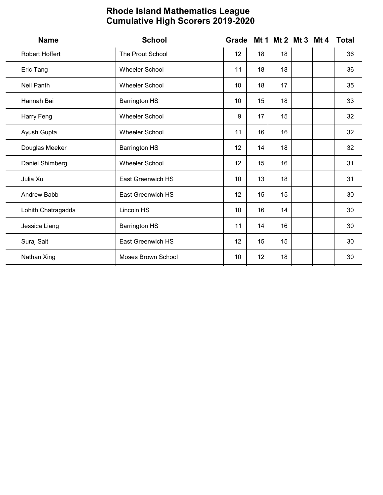| <b>Name</b>        | <b>School</b>         | Grade | <b>Cumulative High Scorers 2019-2020</b> |    | Mt 1 Mt 2 Mt 3 Mt 4 | <b>Total</b>    |
|--------------------|-----------------------|-------|------------------------------------------|----|---------------------|-----------------|
| Robert Hoffert     | The Prout School      | 12    | 18                                       | 18 |                     | 36              |
| Eric Tang          | <b>Wheeler School</b> | 11    | 18                                       | 18 |                     | 36              |
| Neil Panth         | <b>Wheeler School</b> | 10    | 18                                       | 17 |                     | 35              |
| Hannah Bai         | <b>Barrington HS</b>  | 10    | 15                                       | 18 |                     | 33              |
| Harry Feng         | <b>Wheeler School</b> | 9     | 17                                       | 15 |                     | 32              |
| Ayush Gupta        | Wheeler School        | 11    | 16                                       | 16 |                     | 32              |
| Douglas Meeker     | <b>Barrington HS</b>  | 12    | 14                                       | 18 |                     | 32              |
| Daniel Shimberg    | Wheeler School        | 12    | 15                                       | 16 |                     | 31              |
| Julia Xu           | East Greenwich HS     | 10    | 13                                       | 18 |                     | 31              |
| Andrew Babb        | East Greenwich HS     | 12    | 15                                       | 15 |                     | 30 <sup>°</sup> |
| Lohith Chatragadda | Lincoln HS            | 10    | 16                                       | 14 |                     | 30 <sup>°</sup> |
| Jessica Liang      | <b>Barrington HS</b>  | 11    | 14                                       | 16 |                     | 30 <sup>°</sup> |
| Suraj Sait         | East Greenwich HS     | 12    | 15                                       | 15 |                     | 30 <sup>°</sup> |
| Nathan Xing        | Moses Brown School    | 10    | 12                                       | 18 |                     | 30 <sup>°</sup> |

## Rhode Island Mathematics League Cumulative High Scorers 2019-2020